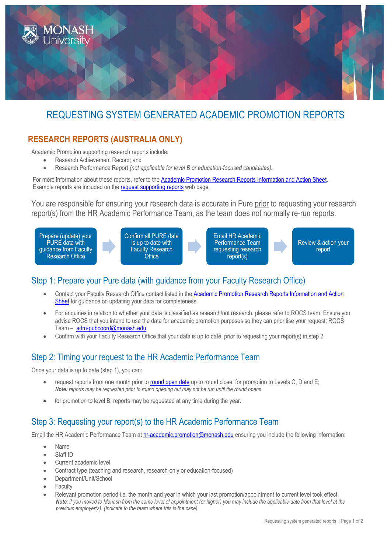

# REQUESTING SYSTEM GENERATED ACADEMIC PROMOTION REPORTS

## **RESEARCH REPORTS (AUSTRALIA ONLY)**

Academic Promotion supporting research reports include:

- Research Achievement Record; and
- Research Performance Report *(not applicable for level B or education-focused candidates).*

For more information about these reports, refer to the **Academic Promotion Research Reports Information and Action Sheet**. Example reports are included on the [request supporting reports](https://www.monash.edu/academicpromotion/request-reports) web page.

You are responsible for ensuring your research data is accurate in Pure prior to requesting your research report(s) from the HR Academic Performance Team, as the team does not normally re-run reports.



## Step 1: Prepare your Pure data (with guidance from your Faculty Research Office)

- Contact your Faculty Research Office contact listed in the [Academic Promotion Research Reports Information and Action](https://www.monash.edu/__data/assets/pdf_file/0006/815136/RAR-Info-Action-Sheet.pdf)  [Sheet](https://www.monash.edu/__data/assets/pdf_file/0006/815136/RAR-Info-Action-Sheet.pdf) for guidance on updating your data for completeness.
- For enquiries in relation to whether your data is classified as research/not research, please refer to ROCS team. Ensure you advise ROCS that you intend to use the data for academic promotion purposes so they can prioritise your request: ROCS Team – [adm-pubcoord@monash.edu](mailto:adm-pubcoord@monash.edu)
- Confirm with your Faculty Research Office that your data is up to date, prior to requesting your report(s) in step 2.

## Step 2: Timing your request to the HR Academic Performance Team

Once your data is up to date (step 1), you can:

- request reports from one month prior to [round open date](https://www.monash.edu/academicpromotion/key-dates) up to round close, for promotion to Levels C, D and E; *Note: reports may be requested prior to round opening but may not be run until the round opens.*
- for promotion to level B, reports may be requested at any time during the year.

## Step 3: Requesting your report(s) to the HR Academic Performance Team

Email the HR Academic Performance Team a[t hr-academic.promotion@monash.edu](mailto:hr-academic.promotion@monash.edu) ensuring you include the following information:

- Name
- Staff ID
- Current academic level
- Contract type (teaching and research, research-only or education-focused)
- Department/Unit/School
- **Faculty**
- Relevant promotion period i.e. the month and year in which your last promotion/appointment to current level took effect. *Note: if you moved to Monash from the same level of appointment (or higher) you may include the applicable date from that level at the previous employer(s). (Indicate to the team where this is the case).*